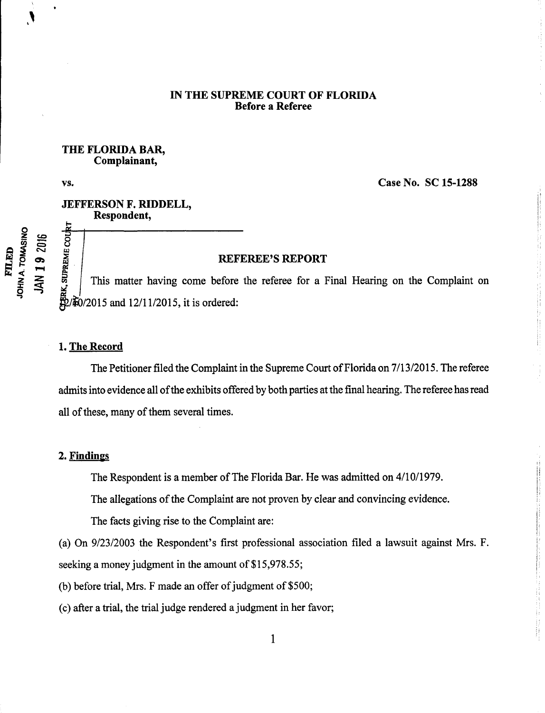### IN THE SUPREME COURT OF FLORIDA Before a Referee

#### THE FLORIDA BAR, Complainant,

**FILED** 

vs. Case No. SC 15-1288

 $\label{eq:2.1} \begin{split} \mathcal{L}_{\text{in}}(\mathcal{L}_{\text{in}}) = \mathcal{L}_{\text{in}}(\mathcal{L}_{\text{in}}) = \mathcal{L}_{\text{in}}(\mathcal{L}_{\text{in}}) = \mathcal{L}_{\text{in}}(\mathcal{L}_{\text{in}}) = \mathcal{L}_{\text{in}}(\mathcal{L}_{\text{in}}) = \mathcal{L}_{\text{in}}(\mathcal{L}_{\text{in}}) = \mathcal{L}_{\text{in}}(\mathcal{L}_{\text{in}}) = \mathcal{L}_{\text{in}}(\mathcal{L}_{\text{in}}) = \mathcal{L}_{\text{in}}(\mathcal$ 

# JEFFERSON F. RIDDELL, Respondent,

#### $\bar{c}$  on  $\bar{c}$  and  $\bar{c}$  REFEREE'S REPORT

This matter having come before the referee for a Final Hearing on the Complaint on /È0/2015 and 12/11/2015, it is ordered:

# 1. The Record

The Petitioner filed the Complaint in the Supreme Court of Florida on 7/13/2015. The referee admits into evidence all of the exhibits offered by both parties at the final hearing. The referee has read all of these, many of them several times.

### 2. Findings

The Respondent is a member of The Florida Bar. He was admitted on 4/10/1979.

The allegations of the Complaint are not proven by clear and convincing evidence.

The facts giving rise to the Complaint are:

(a) On 9/23/2003 the Respondent's first professional association filed a lawsuit against Mrs. F. seeking a money judgment in the amount of \$15,978.55;

(b) before trial, Mrs. F made an offer of judgment of  $$500;$ 

(c) after a trial, the trial judge rendered a judgment in her favor;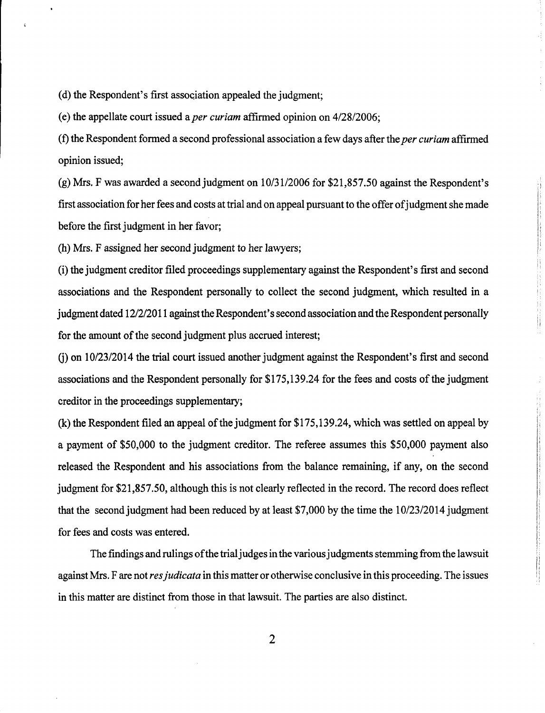(d) the Respondent's first association appealed the judgment;

(e) the appellate court issued a *per curiam* affirmed opinion on  $4/28/2006$ ;

(f) the Respondent formed a second professional association a few days after the *per curiam* affirmed opinion issued;

 $(g)$  Mrs. F was awarded a second judgment on  $10/31/2006$  for \$21,857.50 against the Respondent's first association for her fees and costs at trial and on appeal pursuant to the offer of judgment she made before the first judgment in her favor;

(h) Mrs. F assigned her second judgment to her lawyers;

(i) the judgment creditor filed proceedings supplementary against the Respondent's first and second associations and the Respondent personally to collect the second judgment, which resulted in a judgment dated 12/2/2011 against the Respondent's second association and the Respondent personally for the amount of the second judgment plus accrued interest;

 $\frac{1}{2}$ 

(i) on 10/23/2014 the trial court issued another judgment against the Respondent's first and second associations and the Respondent personally for \$175,139.24 for the fees and costs of the judgment creditor in the proceedings supplementary;

 $(k)$  the Respondent filed an appeal of the judgment for \$175,139.24, which was settled on appeal by <sup>a</sup> payment of \$50,000 to the judgment creditor. The referee assumes this \$50,000 payment also released the Respondent and his associations from the balance remaining, if any, on the second judgment for \$21,857.50, although this is not clearly reflected in the record. The record does reflect that the second judgment had been reduced by at least  $$7,000$  by the time the  $10/23/2014$  judgment for fees and costs was entered.

The findings and rulings of the trial judges in the various judgments stemming from the lawsuit against Mrs. F are not res judicata in this matter or otherwise conclusive in this proceeding. The issues in this matter are distinct from those in that lawsuit. The parties are also distinct.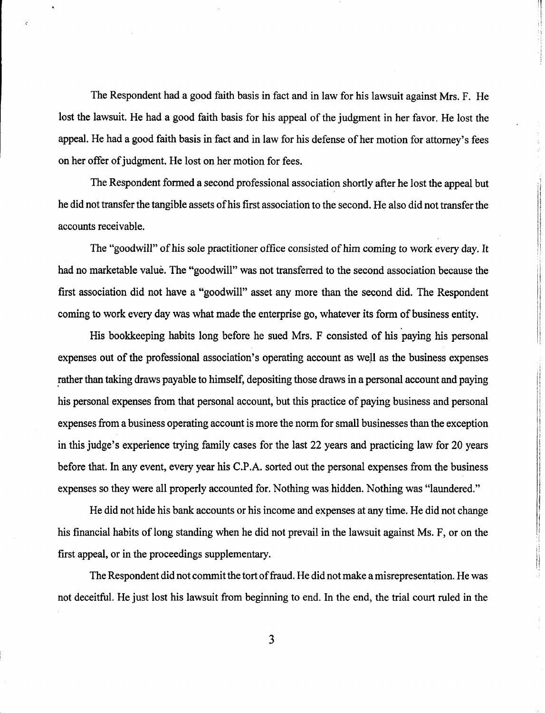The Respondent had a good faith basis in fact and in law for his lawsuit against Mrs. F. He lost the lawsuit. He had a good faith basis for his appeal of the judgment in her favor. He lost the appeal. He had a good faith basis in fact and in law for his defense of her motion for attorney's fees on her offer of judgment. He lost on her motion for fees.

The Respondent formed a second professional association shortly after he lost the appeal but he did not transfer the tangible assets of his first association to the second. He also did not transfer the accounts receivable.

The "goodwill" of his sole practitioner office consisted of him coming to work every day. It had no marketable valué. The "goodwill" was not transferred to the second association because the first association did not have a "goodwill" asset any more than the second did. The Respondent coming to work every day was what made the enterprise go, whatever its form of business entity.

His bookkeeping habits long before he sued Mrs. F consisted of his paying his personal expenses out of the professional association's operating account as well as the business expenses rather than taking draws payable to himself, depositing those draws in a personal account and paying his personal expenses from that personal account, but this practice of paying business and personal expenses from a business operating account is more the norm for small businesses than the exception in this judge's experience trying family cases for the last 22 years and practicing law for 20 years before that. In any event, every year his C.P.A. sorted out the personal expenses from the business expenses so they were all properly accounted for. Nothing was hidden. Nothing was "laundered."

He did not hide his bank accounts or his income and expenses at any time. He did not change his financial habits of long standing when he did not prevail in the lawsuit against Ms. F, or on the first appeal, or in the proceedings supplementary.

The Respondent did not commit the tort of fraud. He did not make a misrepresentation. He was not deceitful. He just lost his lawsuit from beginning to end. In the end, the trial court ruled in the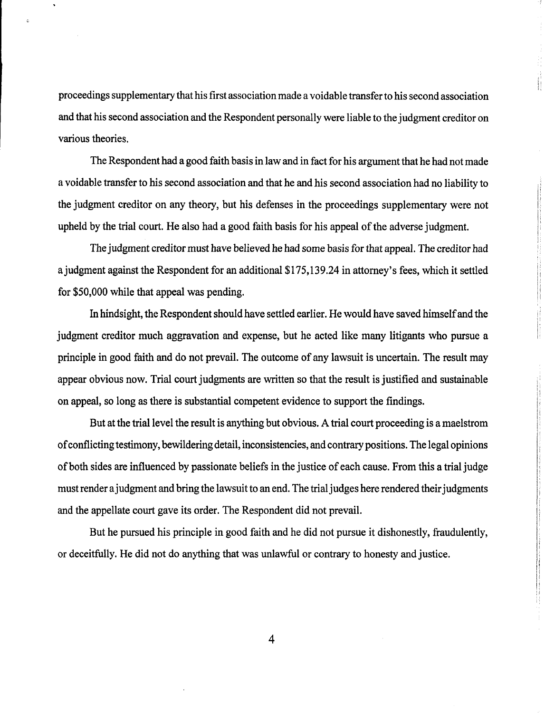proceedings supplementary that his first association made a voidable transfer to his second association and that his second association and the Respondent personally were liable to the judgment creditor on various theories.

The Respondent had a good faith basis in law and in fact for his argument that he had not made a voidable transfer to his second association and that he and his second association had no liability to the judgment creditor on any theory, but his defenses in the proceedings supplementary were not upheld by the trial court. He also had a good faith basis for his appeal of the adverse judgment.

The judgment creditor must have believed he had some basis for that appeal. The creditor had a judgment against the Respondent for an additional \$175,139.24 in attorney's fees, which it settled for \$50,000 while that appeal was pending.

In hindsight, the Respondent should have settled earlier. He would have saved himselfand the judgment creditor much aggravation and expense, but he acted like many litigants who pursue a principle in good faith and do not prevail. The outcome of any lawsuit is uncertain. The result may appear obvious now. Trial court judgments are written so that the result is justified and sustainable on appeal, so long as there is substantial competent evidence to support the findings.

But at the trial level the result is anything but obvious. A trial court proceeding is a maelstrom of conflicting testimony, bewildering detail, inconsistencies, and contrary positions. The legal opinions of both sides are influenced by passionate beliefs in the justice of each cause. From this a trial judge must render a judgment and bring the lawsuit to an end. The trial judges here rendered their judgments and the appellate court gave its order. The Respondent did not prevail.

But he pursued his principle in good faith and he did not pursue it dishonestly, fraudulently, or deceitfully. He did not do anything that was unlawful or contrary to honesty and justice.